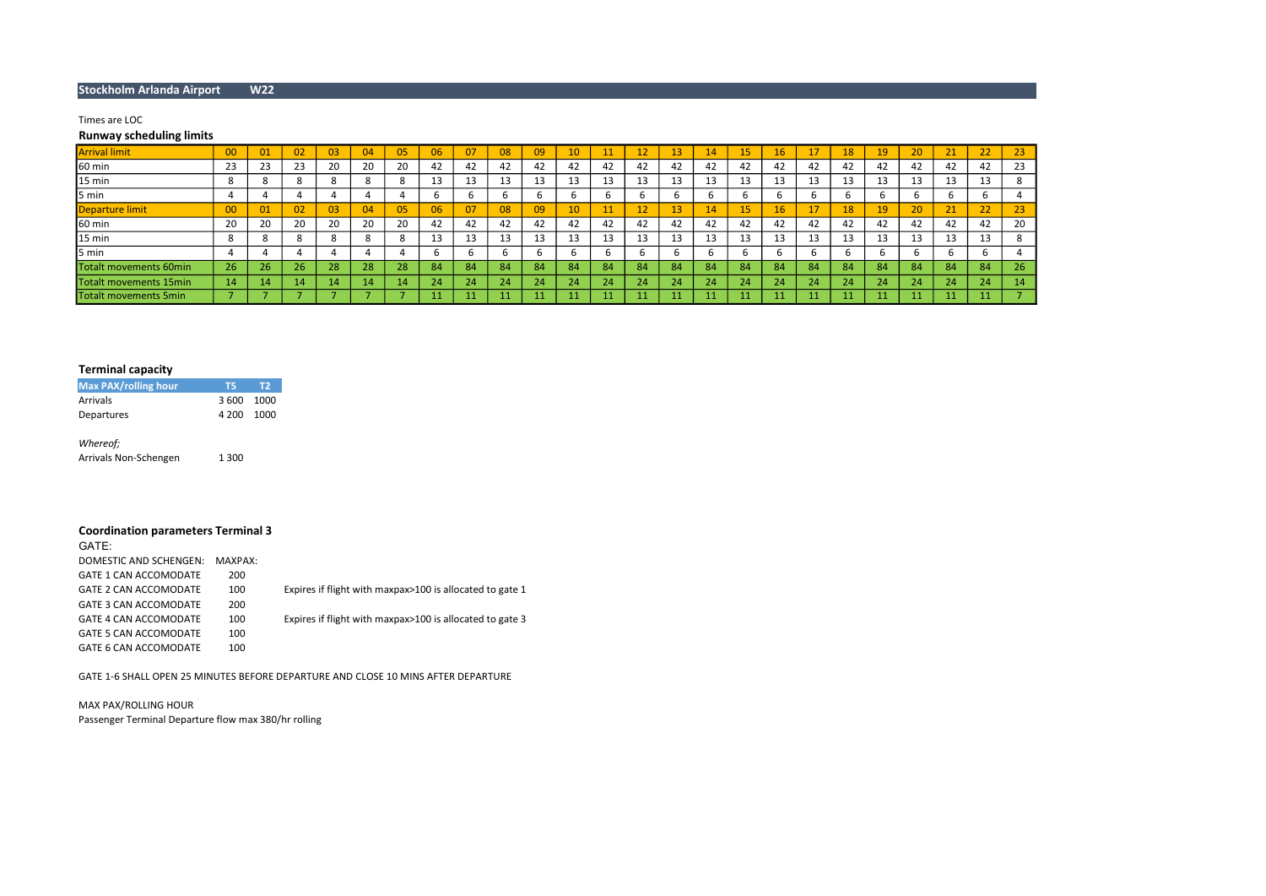## Stockholm Arlanda Airport W22

## Times are LOC

## Runway scheduling limits

| <b>Arrival limit</b>   | 00     |     | 02 | 03           | 04  | 05 | 06 |          | 08 | 09           | 10  | 11 | 12 | 437 | $\mathbf{4}$ | 15 | 16  |    | 18 | 19.          | 20 | 21       | 22        | 23            |
|------------------------|--------|-----|----|--------------|-----|----|----|----------|----|--------------|-----|----|----|-----|--------------|----|-----|----|----|--------------|----|----------|-----------|---------------|
| 60 min                 | 23     | 23  | 23 | 20           |     | 20 | 42 | 42       | 42 | 42           | 42  |    | 42 | 42  | 42           | 42 | 42  | 42 | 42 | 42           | 42 | 42       | 42        | 23            |
| 15 min                 | C<br>◠ |     |    | C<br>$\circ$ |     |    | 13 | 12<br>⊥⊃ | 13 | 12<br>⊥⊃     | -45 | 13 | 13 |     | 13           | 13 |     | 13 | 13 | 1.           | 13 | 13       | 13        | ŏ             |
| 5 min                  |        |     |    |              |     |    | b  |          | b  |              |     |    |    |     |              |    |     |    | b  |              |    | b        |           |               |
| Departure limit        | 00     |     | 02 | 03           |     | 05 | 06 |          | 08 | 09           | 10  | 11 | 12 | 13  | 14           | 15 | 16  | 17 | 18 | 19           | 20 | 21<br>21 | ר ר<br>zz | 23            |
| 60 min                 | 20     | 20  | 20 | 20           |     | 20 | 42 |          | 42 | 42           | 42  | 42 | 42 | 42  | 42           | 42 | 42  | 42 | 42 | 42           | 42 | 42       | 42        | 20            |
| 15 min                 |        |     |    | C<br>$\circ$ |     | ö  | 13 | 1.<br>⊥⊃ | 13 | $\sim$<br>⊥⊃ | -45 | 13 | 13 | ᆦ   | 13           | 13 | ⊥⊃  | 13 | 13 | $\sim$<br>IJ | 13 | 13       | 13        | $\Omega$<br>ŏ |
| 5 min                  |        |     |    |              |     |    |    |          |    |              |     |    |    |     |              |    |     |    |    |              |    | b        |           |               |
| Totalt movements 60min | 26     | -26 | 26 | 28           | 20. | 28 | 84 | 84       | 84 | 84           | 84  | 84 | 84 | 84  | 84           | 84 | 84. | 84 | 84 | 84           | 84 | 84       | 84        | 26            |
| Totalt movements 15min | 14     | 14  | 14 | 44           | 14  | 14 | 24 | 24       | 24 | 24           | 24  | 24 | 24 |     | 24           | 24 | 24. | 24 | 24 | 24           | 24 | 24       | 24        | 14            |
| Totalt movements 5min  |        |     |    |              |     |    |    |          |    |              |     |    |    |     |              |    |     | 11 |    |              |    |          |           |               |

# Terminal capacity

| <b>Max PAX/rolling hour</b> | -75.       | T2 |
|-----------------------------|------------|----|
| Arrivals                    | 3 600 1000 |    |
| Departures                  | 4 200 1000 |    |
| Whereof;                    |            |    |

Arrivals Non-Schengen 1300

# Coordination parameters Terminal 3

| GATE:                        |         |                                                          |
|------------------------------|---------|----------------------------------------------------------|
| DOMESTIC AND SCHENGEN:       | MAXPAX: |                                                          |
| GATE 1 CAN ACCOMODATE        | 200     |                                                          |
| GATE 2 CAN ACCOMODATE        | 100     | Expires if flight with maxpax>100 is allocated to gate 1 |
| GATE 3 CAN ACCOMODATE        | 200     |                                                          |
| GATE 4 CAN ACCOMODATE        | 100     | Expires if flight with maxpax>100 is allocated to gate 3 |
| <b>GATE 5 CAN ACCOMODATE</b> | 100     |                                                          |
| GATE 6 CAN ACCOMODATE        | 100     |                                                          |

GATE 1-6 SHALL OPEN 25 MINUTES BEFORE DEPARTURE AND CLOSE 10 MINS AFTER DEPARTURE

MAX PAX/ROLLING HOUR Passenger Terminal Departure flow max 380/hr rolling